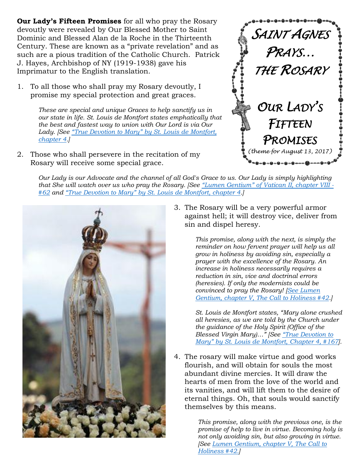**Our Lady's Fifteen Promises** for all who pray the Rosary devoutly were revealed by Our Blessed Mother to Saint Dominic and Blessed Alan de la Roche in the Thirteenth Century. These are known as a "private revelation" and as such are a pious tradition of the Catholic Church. Patrick J. Hayes, Archbishop of NY (1919-1938) gave his Imprimatur to the English translation.

1. To all those who shall pray my Rosary devoutly, I promise my special protection and great graces.

> *These are special and unique Graces to help sanctify us in our state in life. St. Louis de Montfort states emphatically that the best and fastest way to union with Our Lord is via Our Lady. [See "True Devotion to Mary" [by St. Louis de Montfort,](https://www.ewtn.com/library/Montfort/TRUEDEVO.HTM#Ch. 4)  [chapter 4.](https://www.ewtn.com/library/Montfort/TRUEDEVO.HTM#Ch. 4)]*

2. Those who shall persevere in the recitation of my Rosary will receive some special grace.



*Our Lady is our Advocate and the channel of all God's Grace to us. Our Lady is simply highlighting that She will watch over us who pray the Rosary. [See "[Lumen Gentium](http://www.vatican.va/archive/hist_councils/ii_vatican_council/documents/vat-ii_const_19641121_lumen-gentium_en.html)" of Vatican II, chapter VIII - [#62](http://www.vatican.va/archive/hist_councils/ii_vatican_council/documents/vat-ii_const_19641121_lumen-gentium_en.html) and "True Devotion to Mary" [by St. Louis de Montfort, chapter 4.](https://www.ewtn.com/library/Montfort/TRUEDEVO.HTM#Ch. 4)]*



3. The Rosary will be a very powerful armor against hell; it will destroy vice, deliver from sin and dispel heresy.

> *This promise, along with the next, is simply the reminder on how fervent prayer will help us all grow in holiness by avoiding sin, especially a prayer with the excellence of the Rosary. An increase in holiness necessarily requires a reduction in sin, vice and doctrinal errors (heresies). If only the modernists could be convinced to pray the Rosary! [\[See Lumen](http://www.vatican.va/archive/hist_councils/ii_vatican_council/documents/vat-ii_const_19641121_lumen-gentium_en.html)  [Gentium, chapter V, The Call to Holiness #42.](http://www.vatican.va/archive/hist_councils/ii_vatican_council/documents/vat-ii_const_19641121_lumen-gentium_en.html)]*

*St. Louis de Montfort states, "Mary alone crushed all heresies, as we are told by the Church under the guidance of the Holy Spirit (Office of the Blessed Virgin Mary)…" [See "[True Devotion to](https://www.ewtn.com/library/Montfort/TRUEDEVO.HTM#Ch. 4)  Mary[" by St. Louis de Montfort,](https://www.ewtn.com/library/Montfort/TRUEDEVO.HTM#Ch. 4) Chapter 4, #167].*

4. The rosary will make virtue and good works flourish, and will obtain for souls the most abundant divine mercies. It will draw the hearts of men from the love of the world and its vanities, and will lift them to the desire of eternal things. Oh, that souls would sanctify themselves by this means.

> *This promise, along with the previous one, is the promise of help to live in virtue. Becoming holy is not only avoiding sin, but also growing in virtue. [See [Lumen Gentium, chapter V, The Call to](http://www.vatican.va/archive/hist_councils/ii_vatican_council/documents/vat-ii_const_19641121_lumen-gentium_en.html)  [Holiness #42.\]](http://www.vatican.va/archive/hist_councils/ii_vatican_council/documents/vat-ii_const_19641121_lumen-gentium_en.html)*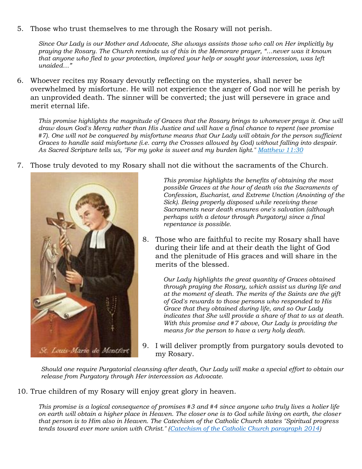5. Those who trust themselves to me through the Rosary will not perish.

*Since Our Lady is our Mother and Advocate, She always assists those who call on Her implicitly by praying the Rosary. The Church reminds us of this in the Memorare prayer, "…never was it known that anyone who fled to your protection, implored your help or sought your intercession, was left unaided…"*

6. Whoever recites my Rosary devoutly reflecting on the mysteries, shall never be overwhelmed by misfortune. He will not experience the anger of God nor will he perish by an unprovided death. The sinner will be converted; the just will persevere in grace and merit eternal life.

*This promise highlights the magnitude of Graces that the Rosary brings to whomever prays it. One will draw down God's Mercy rather than His Justice and will have a final chance to repent (see promise #7). One will not be conquered by misfortune means that Our Lady will obtain for the person sufficient Graces to handle said misfortune (i.e. carry the Crosses allowed by God) without falling into despair. As Sacred Scripture tells us, "For my yoke is sweet and my burden light." [Matthew 11:30](http://www.usccb.org/bible/matthew/11:30)*

7. Those truly devoted to my Rosary shall not die without the sacraments of the Church.



*This promise highlights the benefits of obtaining the most possible Graces at the hour of death via the Sacraments of Confession, Eucharist, and Extreme Unction (Anointing of the Sick). Being properly disposed while receiving these Sacraments near death ensures one's salvation (although perhaps with a detour through Purgatory) since a final repentance is possible.*

8. Those who are faithful to recite my Rosary shall have during their life and at their death the light of God and the plenitude of His graces and will share in the merits of the blessed.

> *Our Lady highlights the great quantity of Graces obtained through praying the Rosary, which assist us during life and at the moment of death. The merits of the Saints are the gift of God's rewards to those persons who responded to His Grace that they obtained during life, and so Our Lady indicates that She will provide a share of that to us at death. With this promise and #7 above, Our Lady is providing the means for the person to have a very holy death.*

9. I will deliver promptly from purgatory souls devoted to my Rosary.

*Should one require Purgatorial cleansing after death, Our Lady will make a special effort to obtain our release from Purgatory through Her intercession as Advocate.*

10. True children of my Rosary will enjoy great glory in heaven.

*This promise is a logical consequence of promises #3 and #4 since anyone who truly lives a holier life on earth will obtain a higher place in Heaven. The closer one is to God while living on earth, the closer that person is to Him also in Heaven. The Catechism of the Catholic Church states "Spiritual progress tends toward ever more union with Christ." [\(Catechism of the Catholic Church paragraph 2014\)](http://www.catholicity.com/catechism/christian_holiness.html)*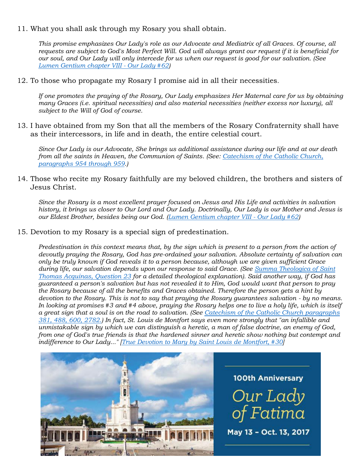11. What you shall ask through my Rosary you shall obtain.

*This promise emphasizes Our Lady's role as our Advocate and Mediatrix of all Graces. Of course, all requests are subject to God's Most Perfect Will. God will always grant our request if it is beneficial for our soul, and Our Lady will only intercede for us when our request is good for our salvation. (See [Lumen Gentium chapter VIII -](http://www.vatican.va/archive/hist_councils/ii_vatican_council/documents/vat-ii_const_19641121_lumen-gentium_en.html) Our Lady #62)*

12. To those who propagate my Rosary I promise aid in all their necessities.

*If one promotes the praying of the Rosary, Our Lady emphasizes Her Maternal care for us by obtaining many Graces (i.e. spiritual necessities) and also material necessities (neither excess nor luxury), all subject to the Will of God of course.*

13. I have obtained from my Son that all the members of the Rosary Confraternity shall have as their intercessors, in life and in death, the entire celestial court.

*Since Our Lady is our Advocate, She brings us additional assistance during our life and at our death from all the saints in Heaven, the Communion of Saints. (See: [Catechism of the Catholic Church,](http://www.catholicity.com/catechism/the_communion_of_saints.html)  [paragraphs 954 through 959.](http://www.catholicity.com/catechism/the_communion_of_saints.html))* 

14. Those who recite my Rosary faithfully are my beloved children, the brothers and sisters of Jesus Christ.

*Since the Rosary is a most excellent prayer focused on Jesus and His Life and activities in salvation history, it brings us closer to Our Lord and Our Lady. Doctrinally, Our Lady is our Mother and Jesus is our Eldest Brother, besides being our God. [\(Lumen Gentium chapter VIII -](http://www.vatican.va/archive/hist_councils/ii_vatican_council/documents/vat-ii_const_19641121_lumen-gentium_en.html) Our Lady #62)*

15. Devotion to my Rosary is a special sign of predestination.

*Predestination in this context means that, by the sign which is present to a person from the action of devoutly praying the Rosary, God has pre-ordained your salvation. Absolute certainty of salvation can only be truly known if God reveals it to a person because, although we are given sufficient Grace during life, our salvation depends upon our response to said Grace. (See [Summa Theologica](http://www.documentacatholicaomnia.eu/03d/1225-1274,_Thomas_Aquinas,_Summa_Theologiae_%5B1%5D,_EN.pdf) of Saint [Thomas Acquinas, Question 23](http://www.documentacatholicaomnia.eu/03d/1225-1274,_Thomas_Aquinas,_Summa_Theologiae_%5B1%5D,_EN.pdf) for a detailed theological explanation). Said another way, if God has guaranteed a person's salvation but has not revealed it to Him, God would want that person to pray the Rosary because of all the benefits and Graces obtained. Therefore the person gets a hint by devotion to the Rosary. This is not to say that praying the Rosary guarantees salvation - by no means. In looking at promises #3 and #4 above, praying the Rosary helps one to live a holy life, which is itself a great sign that a soul is on the road to salvation. (See [Catechism of the Catholic Church paragraphs](http://www.catholicity.com/catechism/)  [381, 488, 600, 2782.\)](http://www.catholicity.com/catechism/) In fact, St. Louis de Montfort says even more strongly that "an infallible and unmistakable sign by which we can distinguish a heretic, a man of false doctrine, an enemy of God, from one of God's true friends is that the hardened sinner and heretic show nothing but contempt and indifference to Our Lady..." [True Devotion to Mary [by Saint Louis de Montfort, #30\]](https://www.ewtn.com/library/Montfort/TRUEDEVO.HTM#Part I: Ch. 1)*